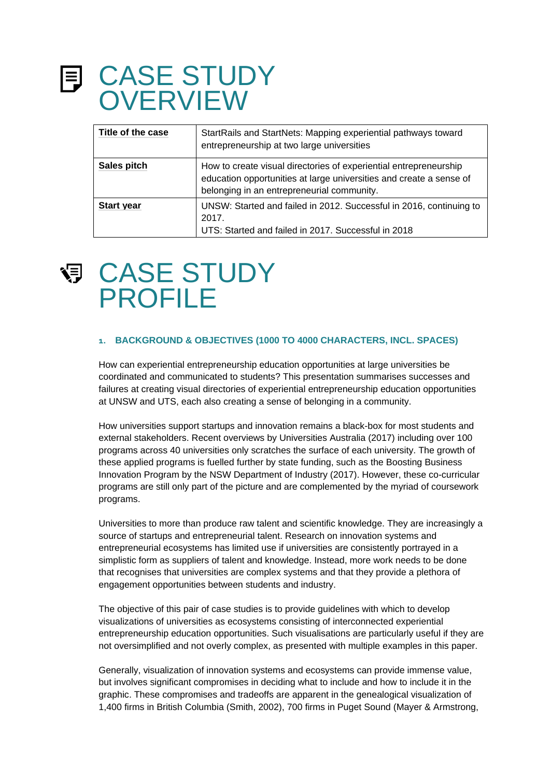### CASE STUDY **OVERVIEW**

| Title of the case | StartRails and StartNets: Mapping experiential pathways toward<br>entrepreneurship at two large universities                                                                           |
|-------------------|----------------------------------------------------------------------------------------------------------------------------------------------------------------------------------------|
| Sales pitch       | How to create visual directories of experiential entrepreneurship<br>education opportunities at large universities and create a sense of<br>belonging in an entrepreneurial community. |
| <b>Start year</b> | UNSW: Started and failed in 2012. Successful in 2016, continuing to<br>2017.<br>UTS: Started and failed in 2017. Successful in 2018                                                    |



### CASE STUDY PROFILE

#### **1. BACKGROUND & OBJECTIVES (1000 TO 4000 CHARACTERS, INCL. SPACES)**

How can experiential entrepreneurship education opportunities at large universities be coordinated and communicated to students? This presentation summarises successes and failures at creating visual directories of experiential entrepreneurship education opportunities at UNSW and UTS, each also creating a sense of belonging in a community.

How universities support startups and innovation remains a black-box for most students and external stakeholders. Recent overviews by Universities Australia (2017) including over 100 programs across 40 universities only scratches the surface of each university. The growth of these applied programs is fuelled further by state funding, such as the Boosting Business Innovation Program by the NSW Department of Industry (2017). However, these co-curricular programs are still only part of the picture and are complemented by the myriad of coursework programs.

Universities to more than produce raw talent and scientific knowledge. They are increasingly a source of startups and entrepreneurial talent. Research on innovation systems and entrepreneurial ecosystems has limited use if universities are consistently portrayed in a simplistic form as suppliers of talent and knowledge. Instead, more work needs to be done that recognises that universities are complex systems and that they provide a plethora of engagement opportunities between students and industry.

The objective of this pair of case studies is to provide guidelines with which to develop visualizations of universities as ecosystems consisting of interconnected experiential entrepreneurship education opportunities. Such visualisations are particularly useful if they are not oversimplified and not overly complex, as presented with multiple examples in this paper.

Generally, visualization of innovation systems and ecosystems can provide immense value, but involves significant compromises in deciding what to include and how to include it in the graphic. These compromises and tradeoffs are apparent in the genealogical visualization of 1,400 firms in British Columbia (Smith, 2002), 700 firms in Puget Sound (Mayer & Armstrong,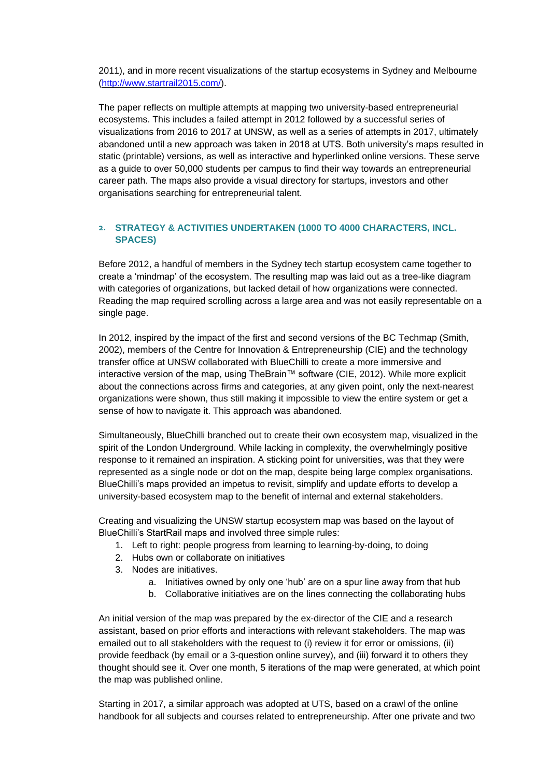2011), and in more recent visualizations of the startup ecosystems in Sydney and Melbourne [\(http://www.startrail2015.com/\)](http://www.startrail2015.com/).

The paper reflects on multiple attempts at mapping two university-based entrepreneurial ecosystems. This includes a failed attempt in 2012 followed by a successful series of visualizations from 2016 to 2017 at UNSW, as well as a series of attempts in 2017, ultimately abandoned until a new approach was taken in 2018 at UTS. Both university's maps resulted in static (printable) versions, as well as interactive and hyperlinked online versions. These serve as a guide to over 50,000 students per campus to find their way towards an entrepreneurial career path. The maps also provide a visual directory for startups, investors and other organisations searching for entrepreneurial talent.

#### **2. STRATEGY & ACTIVITIES UNDERTAKEN (1000 TO 4000 CHARACTERS, INCL. SPACES)**

Before 2012, a handful of members in the Sydney tech startup ecosystem came together to create a 'mindmap' of the ecosystem. The resulting map was laid out as a tree-like diagram with categories of organizations, but lacked detail of how organizations were connected. Reading the map required scrolling across a large area and was not easily representable on a single page.

In 2012, inspired by the impact of the first and second versions of the BC Techmap (Smith, 2002), members of the Centre for Innovation & Entrepreneurship (CIE) and the technology transfer office at UNSW collaborated with BlueChilli to create a more immersive and interactive version of the map, using TheBrain™ software (CIE, 2012). While more explicit about the connections across firms and categories, at any given point, only the next-nearest organizations were shown, thus still making it impossible to view the entire system or get a sense of how to navigate it. This approach was abandoned.

Simultaneously, BlueChilli branched out to create their own ecosystem map, visualized in the spirit of the London Underground. While lacking in complexity, the overwhelmingly positive response to it remained an inspiration. A sticking point for universities, was that they were represented as a single node or dot on the map, despite being large complex organisations. BlueChilli's maps provided an impetus to revisit, simplify and update efforts to develop a university-based ecosystem map to the benefit of internal and external stakeholders.

Creating and visualizing the UNSW startup ecosystem map was based on the layout of BlueChilli's StartRail maps and involved three simple rules:

- 1. Left to right: people progress from learning to learning-by-doing, to doing
- 2. Hubs own or collaborate on initiatives
- 3. Nodes are initiatives.
	- a. Initiatives owned by only one 'hub' are on a spur line away from that hub
	- b. Collaborative initiatives are on the lines connecting the collaborating hubs

An initial version of the map was prepared by the ex-director of the CIE and a research assistant, based on prior efforts and interactions with relevant stakeholders. The map was emailed out to all stakeholders with the request to (i) review it for error or omissions, (ii) provide feedback (by email or a 3-question online survey), and (iii) forward it to others they thought should see it. Over one month, 5 iterations of the map were generated, at which point the map was published online.

Starting in 2017, a similar approach was adopted at UTS, based on a crawl of the online handbook for all subjects and courses related to entrepreneurship. After one private and two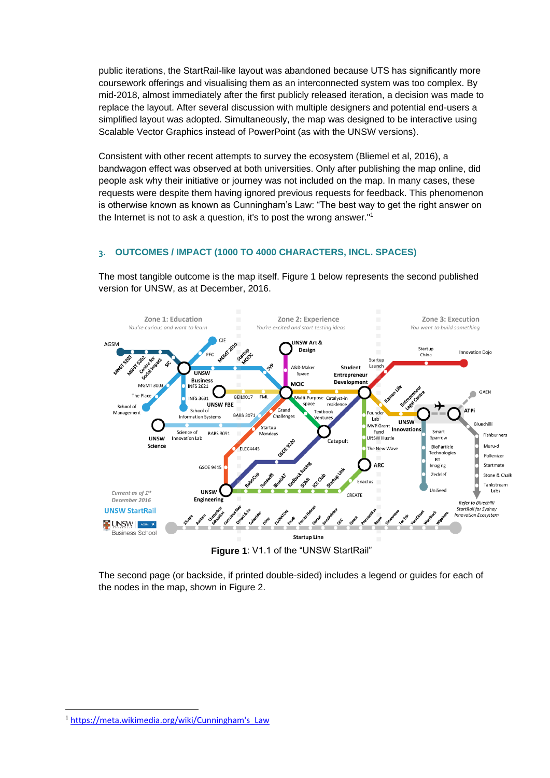public iterations, the StartRail-like layout was abandoned because UTS has significantly more coursework offerings and visualising them as an interconnected system was too complex. By mid-2018, almost immediately after the first publicly released iteration, a decision was made to replace the layout. After several discussion with multiple designers and potential end-users a simplified layout was adopted. Simultaneously, the map was designed to be interactive using Scalable Vector Graphics instead of PowerPoint (as with the UNSW versions).

Consistent with other recent attempts to survey the ecosystem (Bliemel et al, 2016), a bandwagon effect was observed at both universities. Only after publishing the map online, did people ask why their initiative or journey was not included on the map. In many cases, these requests were despite them having ignored previous requests for feedback. This phenomenon is otherwise known as known as Cunningham's Law: "The best way to get the right answer on the Internet is not to ask a question, it's to post the wrong answer."<sup>1</sup>

#### **3. OUTCOMES / IMPACT (1000 TO 4000 CHARACTERS, INCL. SPACES)**

The most tangible outcome is the map itself. Figure 1 below represents the second published version for UNSW, as at December, 2016.



The second page (or backside, if printed double-sided) includes a legend or guides for each of

the nodes in the map, shown in Figure 2.

**.** 

<sup>1</sup> [https://meta.wikimedia.org/wiki/Cunningham's\\_Law](https://meta.wikimedia.org/wiki/Cunningham)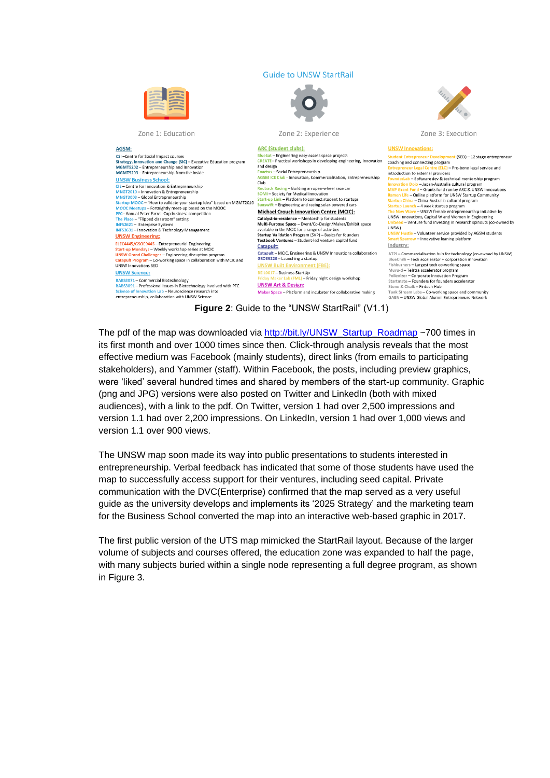#### **Guide to UNSW StartRail**



Zone 1: Education

AGSM:

#### Zone 2: Experience **ARC** (Student clubs): CSI-Centre for Social Impact course Strategy, Innovation and Change (SIC) – Executive Education program **CREATE – Practical workshops in de<br>and design<br>Enactus – Social Entrepreneurship<br>AGSM ICE Club - Innovation, Comn** MGMT5202 - Entrepreneurship and Innovation anactus - Social Entrepreneurship<br>AGSM ICE Club - Innovation, Commercialisation, Entrepreneurship<br>Club MGMT5203 - Entrepreneurship from the Inside **UNSW Business School:** CIE - Centre for Innovation & Entrepreneurship Redback Racing - Building an open-wheel race car CLE—Centre for Innovation & Entrepreneurship<br>MNGT2003 — Global Entrepreneurship<br>MNGT2003 — Global Entrepreneurship<br>MNGT2003 — Global Entrepreneurship<br>MNGT2003 — Global Entrepreneurship<br>MOC Meetups — Fortnightly meet-up bas **Michael Crouch Innovation Centre (MCIC):** PFC- Annual Peter Farrell Cup business competition The Place - "Flipped classroom" setting Catalyst-in-residence - Mentorship for students<br>Multi-Purpose Space - Event/Co-Design/Maker/Exhibit space INFS2621 - Enterprise Systems INFS3631 - Innovation & Technology Management available in the MCIC for a range of activitie **UNSW Engineering:** Startup Validation Program (SVP) - Basics for founders Textbook Ventures - Student-led venture capital fund ELEC4445/650E9445 - Entrepreneurial Engineering<br>Start-up Mondays - Weekly workshop series at MCIC<br>UNSW Grand Challenges - Engineering disruption program Catapult: Catapult - MCIC, Engineering & UNSW Innovations collaboration GSOE9220 - Launching a startup ult Program - Co-working space in collaboration with MCIC and UNSW Innovations SED **UNSW Built Enviror** ent (FBE): **UNSW Science:** BEIL0017 - Business StartUp (FML) - Friday night design workshop -<br>BABS3071 – Commercial Biotechnology<br>BABS3091 – Professional Issues in Biotechnology involved with PFC **UNSW Art & Design:** Maker Space - Platform and incubator for collaborative making ation Lab - Neuroscience research into entrepreneurship, collaboration with UNSW Science



Zone 3: Execution

#### **UNSW Innovations:**

relopment (SED) – 12 stage entrepreneur coaching and connecting program introduction to external provider to external providers<br>— Software dev & technical mentorship program<br>Dojo — Japan-Australia cultural program<br><mark>Fund</mark> — Grants fund run by ARC & UNSW Innovations<br>— Online platform for UNSW Startup Community **Startun** ina – China-Australia cultural program Startup Launch - 4 week startup program Waye - UNSW female entrepreneurship initiative by UNSW Innovations. Capital W and Women In Engineering UNSW) Hustle – Volunteer service provided by AGSM students Innovative leaning platfor Industry: ATPI – Commercialisation hub for technology (co-owned by UNSW)<br>BlueChilli – Tech accelerator + corporation innovation<br>Fishburners – Largest tech co-working space<br>Muru-d – Telstra accelerator program Pollenizer - Corporate Innovation Program Startmate - Founders for founders accelerator Stone & Chalk - Fintech Hub Tank Stream Labs - Co-working space and community GAEN - UNSW Global Alumni Entrepreneurs Networ

**Figure 2**: Guide to the "UNSW StartRail" (V1.1)

The pdf of the map was downloaded via [http://bit.ly/UNSW\\_Startup\\_Roadmap](http://bit.ly/UNSW_Startup_Roadmap) ~700 times in its first month and over 1000 times since then. Click-through analysis reveals that the most effective medium was Facebook (mainly students), direct links (from emails to participating stakeholders), and Yammer (staff). Within Facebook, the posts, including preview graphics, were 'liked' several hundred times and shared by members of the start-up community. Graphic (png and JPG) versions were also posted on Twitter and LinkedIn (both with mixed audiences), with a link to the pdf. On Twitter, version 1 had over 2,500 impressions and version 1.1 had over 2,200 impressions. On LinkedIn, version 1 had over 1,000 views and version 1.1 over 900 views.

The UNSW map soon made its way into public presentations to students interested in entrepreneurship. Verbal feedback has indicated that some of those students have used the map to successfully access support for their ventures, including seed capital. Private communication with the DVC(Enterprise) confirmed that the map served as a very useful guide as the university develops and implements its '2025 Strategy' and the marketing team for the Business School converted the map into an interactive web-based graphic in 2017.

The first public version of the UTS map mimicked the StartRail layout. Because of the larger volume of subjects and courses offered, the education zone was expanded to half the page, with many subjects buried within a single node representing a full degree program, as shown in Figure 3.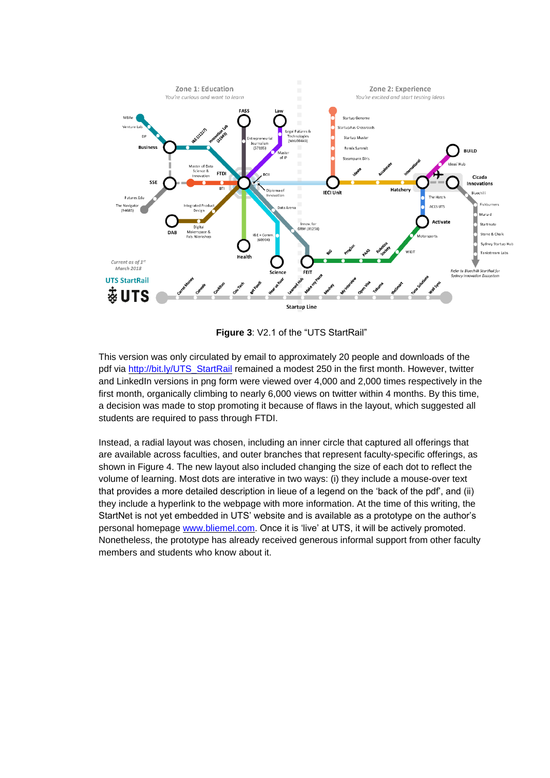

**Figure 3**: V2.1 of the "UTS StartRail"

This version was only circulated by email to approximately 20 people and downloads of the pdf via [http://bit.ly/UTS\\_StartRail](http://bit.ly/UTS_StartRail) remained a modest 250 in the first month. However, twitter and LinkedIn versions in png form were viewed over 4,000 and 2,000 times respectively in the first month, organically climbing to nearly 6,000 views on twitter within 4 months. By this time, a decision was made to stop promoting it because of flaws in the layout, which suggested all students are required to pass through FTDI.

Instead, a radial layout was chosen, including an inner circle that captured all offerings that are available across faculties, and outer branches that represent faculty-specific offerings, as shown in Figure 4. The new layout also included changing the size of each dot to reflect the volume of learning. Most dots are interative in two ways: (i) they include a mouse-over text that provides a more detailed description in lieue of a legend on the 'back of the pdf', and (ii) they include a hyperlink to the webpage with more information. At the time of this writing, the StartNet is not yet embedded in UTS' website and is available as a prototype on the author's personal homepage [www.bliemel.com.](http://www.bliemel.com/) Once it is 'live' at UTS, it will be actively promoted. Nonetheless, the prototype has already received generous informal support from other faculty members and students who know about it.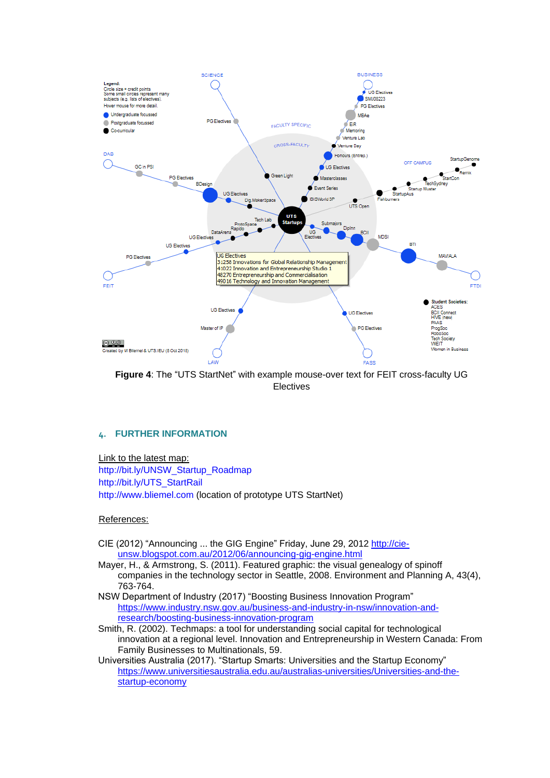

**Figure 4**: The "UTS StartNet" with example mouse-over text for FEIT cross-faculty UG Electives

#### **4. FURTHER INFORMATION**

Link to the latest map:

[http://bit.ly/UNSW\\_Startup\\_Roadmap](http://bit.ly/UNSW_Startup_Roadmap) [http://bit.ly/UTS\\_StartRail](http://bit.ly/UTS_StartRail) [http://www.bliemel.com](http://www.bliemel.com/) (location of prototype UTS StartNet)

#### References:

CIE (2012) "Announcing ... the GIG Engine" Friday, June 29, 2012 [http://cie](http://cie-unsw.blogspot.com.au/2012/06/announcing-gig-engine.html)[unsw.blogspot.com.au/2012/06/announcing-gig-engine.html](http://cie-unsw.blogspot.com.au/2012/06/announcing-gig-engine.html)

Mayer, H., & Armstrong, S. (2011). Featured graphic: the visual genealogy of spinoff companies in the technology sector in Seattle, 2008. Environment and Planning A, 43(4), 763-764.

- NSW Department of Industry (2017) "Boosting Business Innovation Program" [https://www.industry.nsw.gov.au/business-and-industry-in-nsw/innovation-and](https://www.industry.nsw.gov.au/business-and-industry-in-nsw/innovation-and-research/boosting-business-innovation-program)[research/boosting-business-innovation-program](https://www.industry.nsw.gov.au/business-and-industry-in-nsw/innovation-and-research/boosting-business-innovation-program)
- Smith, R. (2002). Techmaps: a tool for understanding social capital for technological innovation at a regional level. Innovation and Entrepreneurship in Western Canada: From Family Businesses to Multinationals, 59.
- Universities Australia (2017). "Startup Smarts: Universities and the Startup Economy" [https://www.universitiesaustralia.edu.au/australias-universities/Universities-and-the](https://www.universitiesaustralia.edu.au/australias-universities/Universities-and-the-startup-economy)[startup-economy](https://www.universitiesaustralia.edu.au/australias-universities/Universities-and-the-startup-economy)